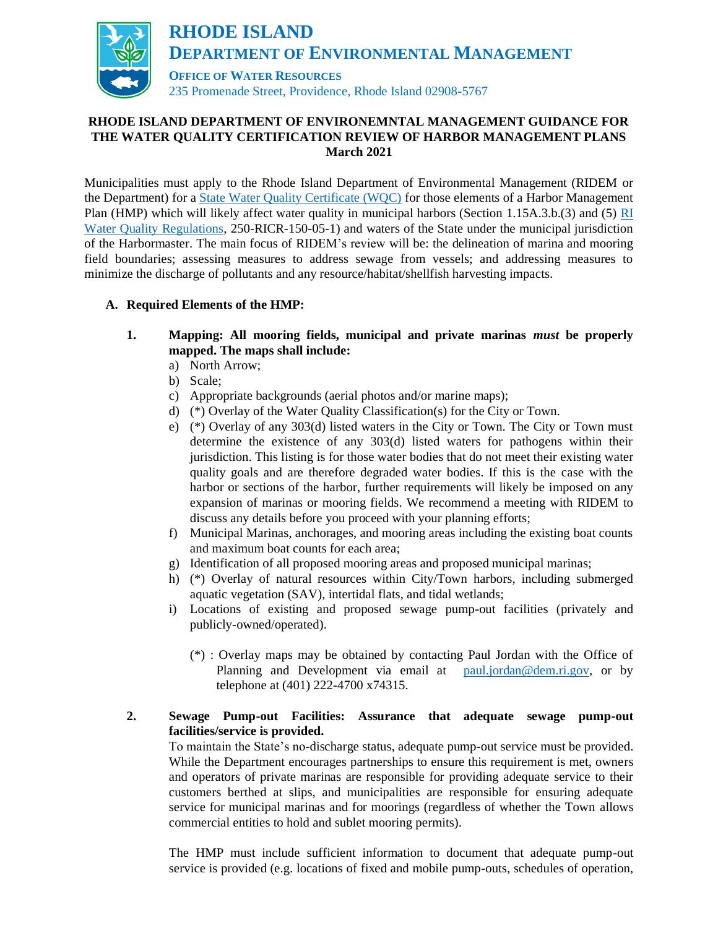

# **RHODE ISLAND DEPARTMENT OF ENVIRONEMNTAL MANAGEMENT GUIDANCE FOR THE WATER QUALITY CERTIFICATION REVIEW OF HARBOR MANAGEMENT PLANS March 2021**

Municipalities must apply to the Rhode Island Department of Environmental Management (RIDEM or the Department) for a [State Water Quality Certificate \(WQC\)](http://www.dem.ri.gov/programs/water/permits/water-quality-certification.php) for those elements of a Harbor Management Plan (HMP) which will likely affect water quality in municipal harbors (Section 1.15A.3.b.(3) and (5) [RI](https://rules.sos.ri.gov/regulations/part/250-150-05-1)  [Water Quality Regulations,](https://rules.sos.ri.gov/regulations/part/250-150-05-1) 250-RICR-150-05-1) and waters of the State under the municipal jurisdiction of the Harbormaster. The main focus of RIDEM's review will be: the delineation of marina and mooring field boundaries; assessing measures to address sewage from vessels; and addressing measures to minimize the discharge of pollutants and any resource/habitat/shellfish harvesting impacts.

- **A. Required Elements of the HMP:**
	- **1. Mapping: All mooring fields, municipal and private marinas** *must* **be properly mapped. The maps shall include:**
		- a) North Arrow;
		- b) Scale;
		- c) Appropriate backgrounds (aerial photos and/or marine maps);
		- d) (\*) Overlay of the Water Quality Classification(s) for the City or Town.
		- e) (\*) Overlay of any 303(d) listed waters in the City or Town. The City or Town must determine the existence of any 303(d) listed waters for pathogens within their jurisdiction. This listing is for those water bodies that do not meet their existing water quality goals and are therefore degraded water bodies. If this is the case with the harbor or sections of the harbor, further requirements will likely be imposed on any expansion of marinas or mooring fields. We recommend a meeting with RIDEM to discuss any details before you proceed with your planning efforts;
		- f) Municipal Marinas, anchorages, and mooring areas including the existing boat counts and maximum boat counts for each area;
		- g) Identification of all proposed mooring areas and proposed municipal marinas;
		- h) (\*) Overlay of natural resources within City/Town harbors, including submerged aquatic vegetation (SAV), intertidal flats, and tidal wetlands;
		- i) Locations of existing and proposed sewage pump-out facilities (privately and publicly-owned/operated).
			- (\*) : Overlay maps may be obtained by contacting Paul Jordan with the Office of Planning and Development via email at [paul.jordan@dem.ri.gov,](mailto:paul.jordan@dem.ri.gov) or by telephone at (401) 222-4700 x74315.

# **2. Sewage Pump-out Facilities: Assurance that adequate sewage pump-out facilities/service is provided.**

To maintain the State's no-discharge status, adequate pump-out service must be provided. While the Department encourages partnerships to ensure this requirement is met, owners and operators of private marinas are responsible for providing adequate service to their customers berthed at slips, and municipalities are responsible for ensuring adequate service for municipal marinas and for moorings (regardless of whether the Town allows commercial entities to hold and sublet mooring permits).

The HMP must include sufficient information to document that adequate pump-out service is provided (e.g. locations of fixed and mobile pump-outs, schedules of operation,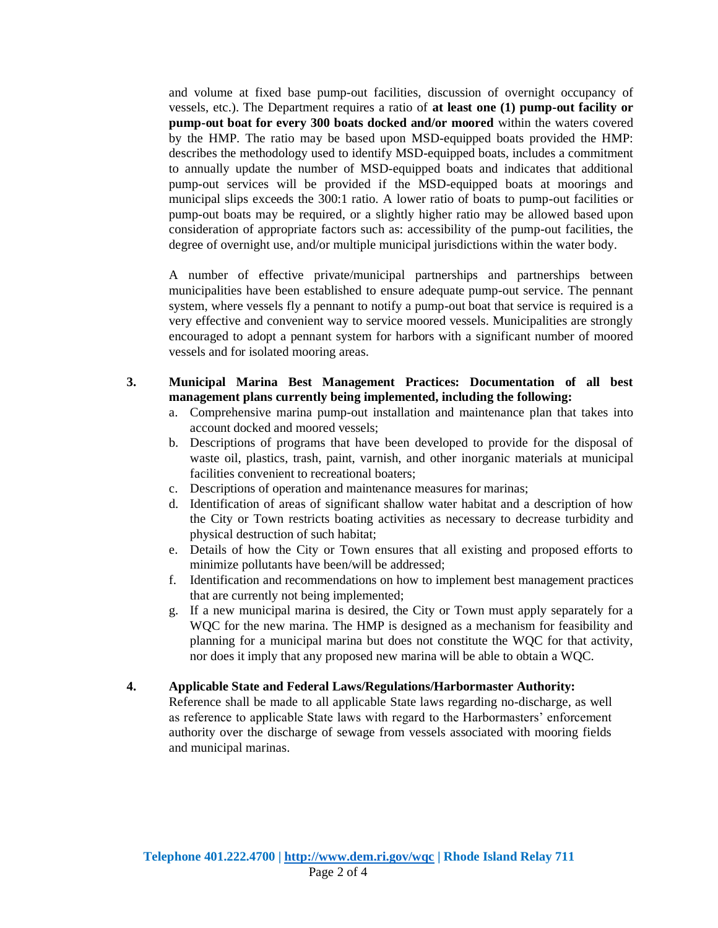and volume at fixed base pump-out facilities, discussion of overnight occupancy of vessels, etc.). The Department requires a ratio of **at least one (1) pump-out facility or pump-out boat for every 300 boats docked and/or moored** within the waters covered by the HMP. The ratio may be based upon MSD-equipped boats provided the HMP: describes the methodology used to identify MSD-equipped boats, includes a commitment to annually update the number of MSD-equipped boats and indicates that additional pump-out services will be provided if the MSD-equipped boats at moorings and municipal slips exceeds the 300:1 ratio. A lower ratio of boats to pump-out facilities or pump-out boats may be required, or a slightly higher ratio may be allowed based upon consideration of appropriate factors such as: accessibility of the pump-out facilities, the degree of overnight use, and/or multiple municipal jurisdictions within the water body.

A number of effective private/municipal partnerships and partnerships between municipalities have been established to ensure adequate pump-out service. The pennant system, where vessels fly a pennant to notify a pump-out boat that service is required is a very effective and convenient way to service moored vessels. Municipalities are strongly encouraged to adopt a pennant system for harbors with a significant number of moored vessels and for isolated mooring areas.

- **3. Municipal Marina Best Management Practices: Documentation of all best management plans currently being implemented, including the following:** 
	- a. Comprehensive marina pump-out installation and maintenance plan that takes into account docked and moored vessels;
	- b. Descriptions of programs that have been developed to provide for the disposal of waste oil, plastics, trash, paint, varnish, and other inorganic materials at municipal facilities convenient to recreational boaters;
	- c. Descriptions of operation and maintenance measures for marinas;
	- d. Identification of areas of significant shallow water habitat and a description of how the City or Town restricts boating activities as necessary to decrease turbidity and physical destruction of such habitat;
	- e. Details of how the City or Town ensures that all existing and proposed efforts to minimize pollutants have been/will be addressed;
	- f. Identification and recommendations on how to implement best management practices that are currently not being implemented;
	- g. If a new municipal marina is desired, the City or Town must apply separately for a WQC for the new marina. The HMP is designed as a mechanism for feasibility and planning for a municipal marina but does not constitute the WQC for that activity, nor does it imply that any proposed new marina will be able to obtain a WQC.
- **4. Applicable State and Federal Laws/Regulations/Harbormaster Authority:**

Reference shall be made to all applicable State laws regarding no-discharge, as well as reference to applicable State laws with regard to the Harbormasters' enforcement authority over the discharge of sewage from vessels associated with mooring fields and municipal marinas.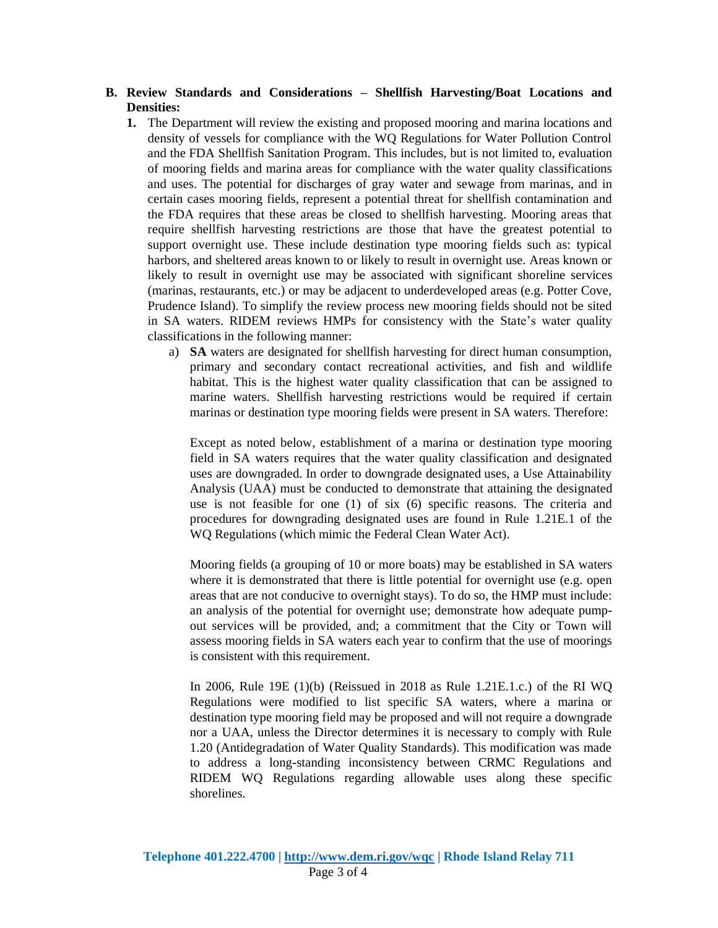### **B. Review Standards and Considerations – Shellfish Harvesting/Boat Locations and Densities:**

- **1.** The Department will review the existing and proposed mooring and marina locations and density of vessels for compliance with the WQ Regulations for Water Pollution Control and the FDA Shellfish Sanitation Program. This includes, but is not limited to, evaluation of mooring fields and marina areas for compliance with the water quality classifications and uses. The potential for discharges of gray water and sewage from marinas, and in certain cases mooring fields, represent a potential threat for shellfish contamination and the FDA requires that these areas be closed to shellfish harvesting. Mooring areas that require shellfish harvesting restrictions are those that have the greatest potential to support overnight use. These include destination type mooring fields such as: typical harbors, and sheltered areas known to or likely to result in overnight use. Areas known or likely to result in overnight use may be associated with significant shoreline services (marinas, restaurants, etc.) or may be adjacent to underdeveloped areas (e.g. Potter Cove, Prudence Island). To simplify the review process new mooring fields should not be sited in SA waters. RIDEM reviews HMPs for consistency with the State's water quality classifications in the following manner:
	- a) **SA** waters are designated for shellfish harvesting for direct human consumption, primary and secondary contact recreational activities, and fish and wildlife habitat. This is the highest water quality classification that can be assigned to marine waters. Shellfish harvesting restrictions would be required if certain marinas or destination type mooring fields were present in SA waters. Therefore:

Except as noted below, establishment of a marina or destination type mooring field in SA waters requires that the water quality classification and designated uses are downgraded. In order to downgrade designated uses, a Use Attainability Analysis (UAA) must be conducted to demonstrate that attaining the designated use is not feasible for one (1) of six (6) specific reasons. The criteria and procedures for downgrading designated uses are found in Rule 1.21E.1 of the WQ Regulations (which mimic the Federal Clean Water Act).

Mooring fields (a grouping of 10 or more boats) may be established in SA waters where it is demonstrated that there is little potential for overnight use (e.g. open areas that are not conducive to overnight stays). To do so, the HMP must include: an analysis of the potential for overnight use; demonstrate how adequate pumpout services will be provided, and; a commitment that the City or Town will assess mooring fields in SA waters each year to confirm that the use of moorings is consistent with this requirement.

In 2006, Rule 19E (1)(b) (Reissued in 2018 as Rule 1.21E.1.c.) of the RI WQ Regulations were modified to list specific SA waters, where a marina or destination type mooring field may be proposed and will not require a downgrade nor a UAA, unless the Director determines it is necessary to comply with Rule 1.20 (Antidegradation of Water Quality Standards). This modification was made to address a long-standing inconsistency between CRMC Regulations and RIDEM WQ Regulations regarding allowable uses along these specific shorelines.